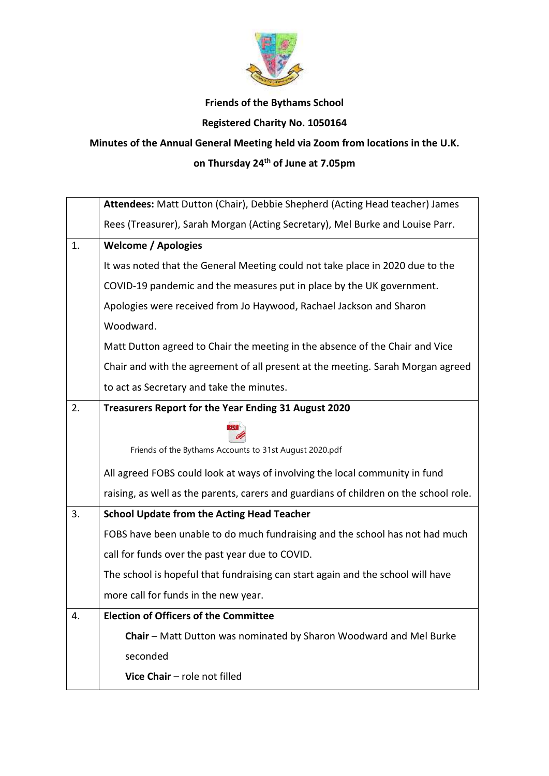

## **Friends of the Bythams School**

## **Registered Charity No. 1050164**

## **Minutes of the Annual General Meeting held via Zoom from locations in the U.K. on Thursday 24th of June at 7.05pm**

|    | Attendees: Matt Dutton (Chair), Debbie Shepherd (Acting Head teacher) James           |
|----|---------------------------------------------------------------------------------------|
|    | Rees (Treasurer), Sarah Morgan (Acting Secretary), Mel Burke and Louise Parr.         |
| 1. | <b>Welcome / Apologies</b>                                                            |
|    | It was noted that the General Meeting could not take place in 2020 due to the         |
|    | COVID-19 pandemic and the measures put in place by the UK government.                 |
|    | Apologies were received from Jo Haywood, Rachael Jackson and Sharon                   |
|    | Woodward.                                                                             |
|    | Matt Dutton agreed to Chair the meeting in the absence of the Chair and Vice          |
|    | Chair and with the agreement of all present at the meeting. Sarah Morgan agreed       |
|    | to act as Secretary and take the minutes.                                             |
| 2. | Treasurers Report for the Year Ending 31 August 2020                                  |
|    |                                                                                       |
|    | Friends of the Bythams Accounts to 31st August 2020.pdf                               |
|    | All agreed FOBS could look at ways of involving the local community in fund           |
|    | raising, as well as the parents, carers and guardians of children on the school role. |
| 3. | <b>School Update from the Acting Head Teacher</b>                                     |
|    | FOBS have been unable to do much fundraising and the school has not had much          |
|    | call for funds over the past year due to COVID.                                       |
|    | The school is hopeful that fundraising can start again and the school will have       |
|    | more call for funds in the new year.                                                  |
| 4. | <b>Election of Officers of the Committee</b>                                          |
|    | Chair - Matt Dutton was nominated by Sharon Woodward and Mel Burke                    |
|    | seconded                                                                              |
|    | Vice Chair - role not filled                                                          |